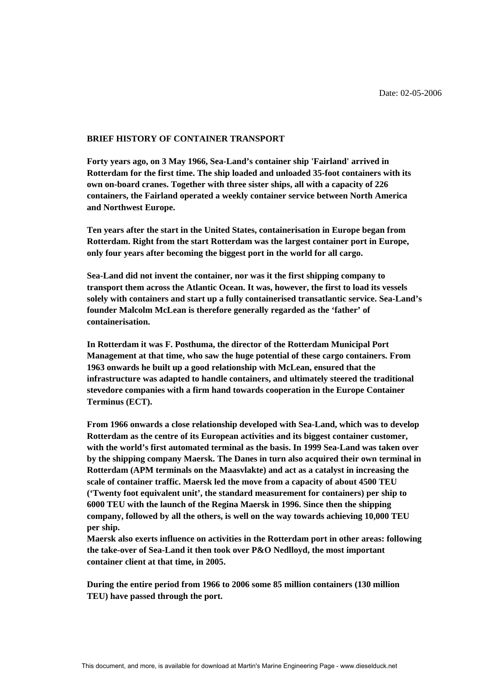# **BRIEF HISTORY OF CONTAINER TRANSPORT**

**Forty years ago, on 3 May 1966, Sea-Land's container ship 'Fairland' arrived in Rotterdam for the first time. The ship loaded and unloaded 35-foot containers with its own on-board cranes. Together with three sister ships, all with a capacity of 226 containers, the Fairland operated a weekly container service between North America and Northwest Europe.** 

**Ten years after the start in the United States, containerisation in Europe began from Rotterdam. Right from the start Rotterdam was the largest container port in Europe, only four years after becoming the biggest port in the world for all cargo.** 

**Sea-Land did not invent the container, nor was it the first shipping company to transport them across the Atlantic Ocean. It was, however, the first to load its vessels solely with containers and start up a fully containerised transatlantic service. Sea-Land's founder Malcolm McLean is therefore generally regarded as the 'father' of containerisation.** 

**In Rotterdam it was F. Posthuma, the director of the Rotterdam Municipal Port Management at that time, who saw the huge potential of these cargo containers. From 1963 onwards he built up a good relationship with McLean, ensured that the infrastructure was adapted to handle containers, and ultimately steered the traditional stevedore companies with a firm hand towards cooperation in the Europe Container Terminus (ECT).** 

**From 1966 onwards a close relationship developed with Sea-Land, which was to develop Rotterdam as the centre of its European activities and its biggest container customer, with the world's first automated terminal as the basis. In 1999 Sea-Land was taken over by the shipping company Maersk. The Danes in turn also acquired their own terminal in Rotterdam (APM terminals on the Maasvlakte) and act as a catalyst in increasing the scale of container traffic. Maersk led the move from a capacity of about 4500 TEU ('Twenty foot equivalent unit', the standard measurement for containers) per ship to 6000 TEU with the launch of the Regina Maersk in 1996. Since then the shipping company, followed by all the others, is well on the way towards achieving 10,000 TEU per ship.** 

**Maersk also exerts influence on activities in the Rotterdam port in other areas: following the take-over of Sea-Land it then took over P&O Nedlloyd, the most important container client at that time, in 2005.** 

**During the entire period from 1966 to 2006 some 85 million containers (130 million TEU) have passed through the port.**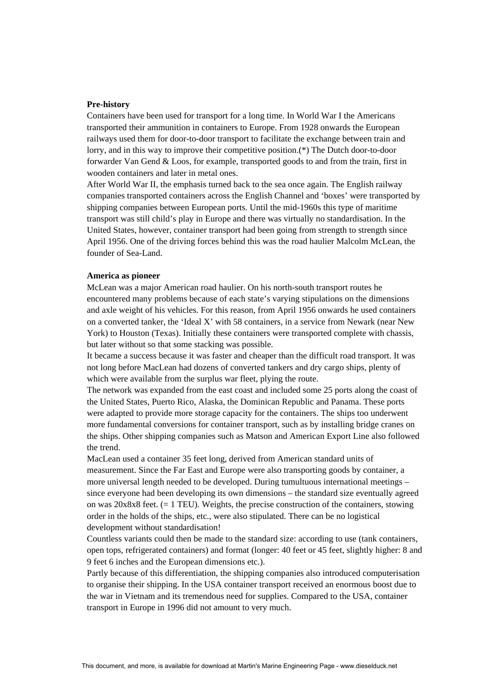# **Pre-history**

Containers have been used for transport for a long time. In World War I the Americans transported their ammunition in containers to Europe. From 1928 onwards the European railways used them for door-to-door transport to facilitate the exchange between train and lorry, and in this way to improve their competitive position.(\*) The Dutch door-to-door forwarder Van Gend & Loos, for example, transported goods to and from the train, first in wooden containers and later in metal ones.

After World War II, the emphasis turned back to the sea once again. The English railway companies transported containers across the English Channel and 'boxes' were transported by shipping companies between European ports. Until the mid-1960s this type of maritime transport was still child's play in Europe and there was virtually no standardisation. In the United States, however, container transport had been going from strength to strength since April 1956. One of the driving forces behind this was the road haulier Malcolm McLean, the founder of Sea-Land.

#### **America as pioneer**

McLean was a major American road haulier. On his north-south transport routes he encountered many problems because of each state's varying stipulations on the dimensions and axle weight of his vehicles. For this reason, from April 1956 onwards he used containers on a converted tanker, the 'Ideal X' with 58 containers, in a service from Newark (near New York) to Houston (Texas). Initially these containers were transported complete with chassis, but later without so that some stacking was possible.

It became a success because it was faster and cheaper than the difficult road transport. It was not long before MacLean had dozens of converted tankers and dry cargo ships, plenty of which were available from the surplus war fleet, plying the route.

The network was expanded from the east coast and included some 25 ports along the coast of the United States, Puerto Rico, Alaska, the Dominican Republic and Panama. These ports were adapted to provide more storage capacity for the containers. The ships too underwent more fundamental conversions for container transport, such as by installing bridge cranes on the ships. Other shipping companies such as Matson and American Export Line also followed the trend.

MacLean used a container 35 feet long, derived from American standard units of measurement. Since the Far East and Europe were also transporting goods by container, a more universal length needed to be developed. During tumultuous international meetings – since everyone had been developing its own dimensions – the standard size eventually agreed on was  $20x8x8$  feet. (= 1 TEU). Weights, the precise construction of the containers, stowing order in the holds of the ships, etc., were also stipulated. There can be no logistical development without standardisation!

Countless variants could then be made to the standard size: according to use (tank containers, open tops, refrigerated containers) and format (longer: 40 feet or 45 feet, slightly higher: 8 and 9 feet 6 inches and the European dimensions etc.).

Partly because of this differentiation, the shipping companies also introduced computerisation to organise their shipping. In the USA container transport received an enormous boost due to the war in Vietnam and its tremendous need for supplies. Compared to the USA, container transport in Europe in 1996 did not amount to very much.